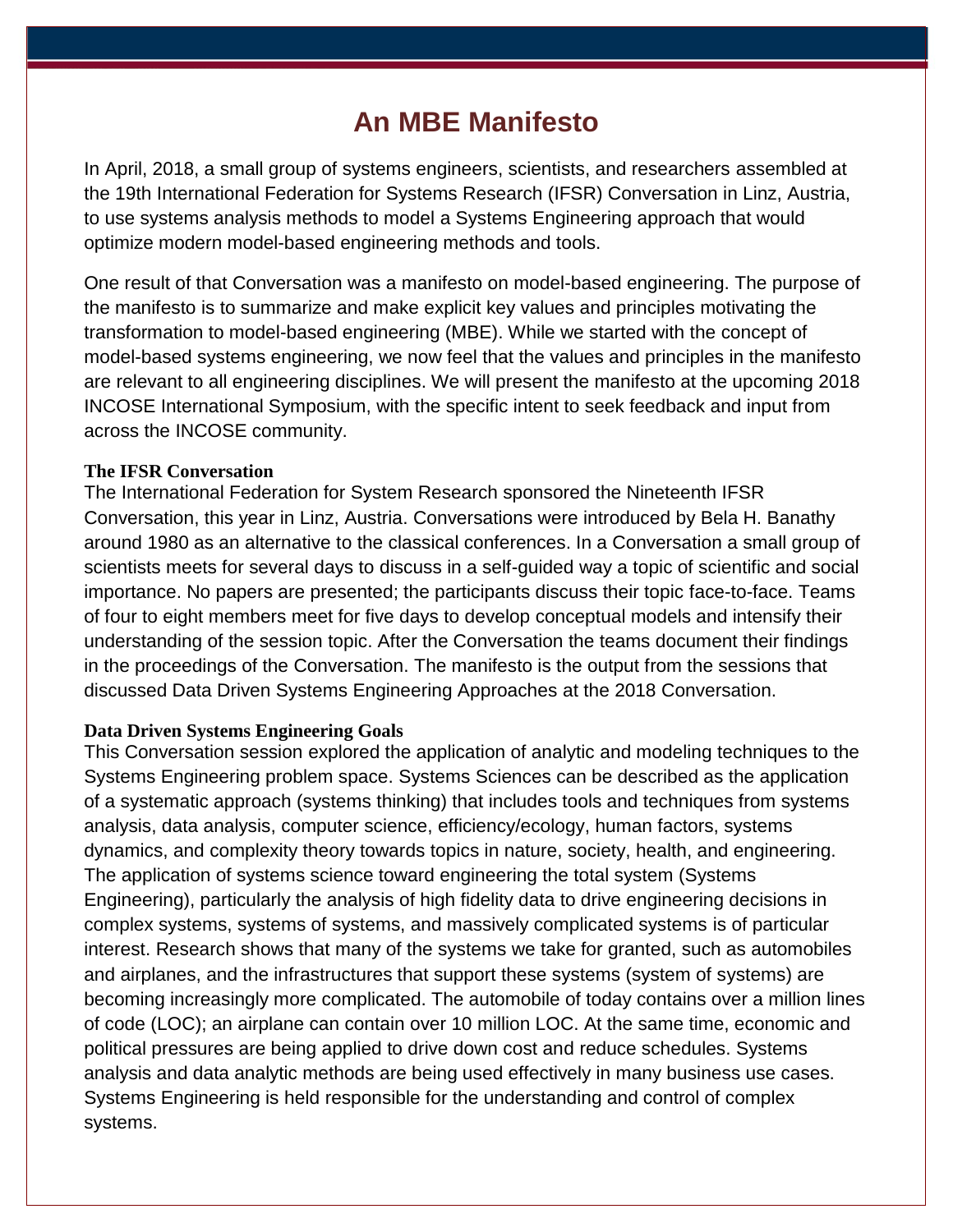# **An MBE Manifesto**

In April, 2018, a small group of systems engineers, scientists, and researchers assembled at the 19th International Federation for Systems Research (IFSR) Conversation in Linz, Austria, to use systems analysis methods to model a Systems Engineering approach that would optimize modern model-based engineering methods and tools.

One result of that Conversation was a manifesto on model-based engineering. The purpose of the manifesto is to summarize and make explicit key values and principles motivating the transformation to model-based engineering (MBE). While we started with the concept of model-based systems engineering, we now feel that the values and principles in the manifesto are relevant to all engineering disciplines. We will present the manifesto at the upcoming 2018 INCOSE International Symposium, with the specific intent to seek feedback and input from across the INCOSE community.

## **The IFSR Conversation**

The International Federation for System Research sponsored the Nineteenth IFSR Conversation, this year in Linz, Austria. Conversations were introduced by Bela H. Banathy around 1980 as an alternative to the classical conferences. In a Conversation a small group of scientists meets for several days to discuss in a self-guided way a topic of scientific and social importance. No papers are presented; the participants discuss their topic face-to-face. Teams of four to eight members meet for five days to develop conceptual models and intensify their understanding of the session topic. After the Conversation the teams document their findings in the proceedings of the Conversation. The manifesto is the output from the sessions that discussed Data Driven Systems Engineering Approaches at the 2018 Conversation.

## **Data Driven Systems Engineering Goals**

This Conversation session explored the application of analytic and modeling techniques to the Systems Engineering problem space. Systems Sciences can be described as the application of a systematic approach (systems thinking) that includes tools and techniques from systems analysis, data analysis, computer science, efficiency/ecology, human factors, systems dynamics, and complexity theory towards topics in nature, society, health, and engineering. The application of systems science toward engineering the total system (Systems Engineering), particularly the analysis of high fidelity data to drive engineering decisions in complex systems, systems of systems, and massively complicated systems is of particular interest. Research shows that many of the systems we take for granted, such as automobiles and airplanes, and the infrastructures that support these systems (system of systems) are becoming increasingly more complicated. The automobile of today contains over a million lines of code (LOC); an airplane can contain over 10 million LOC. At the same time, economic and political pressures are being applied to drive down cost and reduce schedules. Systems analysis and data analytic methods are being used effectively in many business use cases. Systems Engineering is held responsible for the understanding and control of complex systems.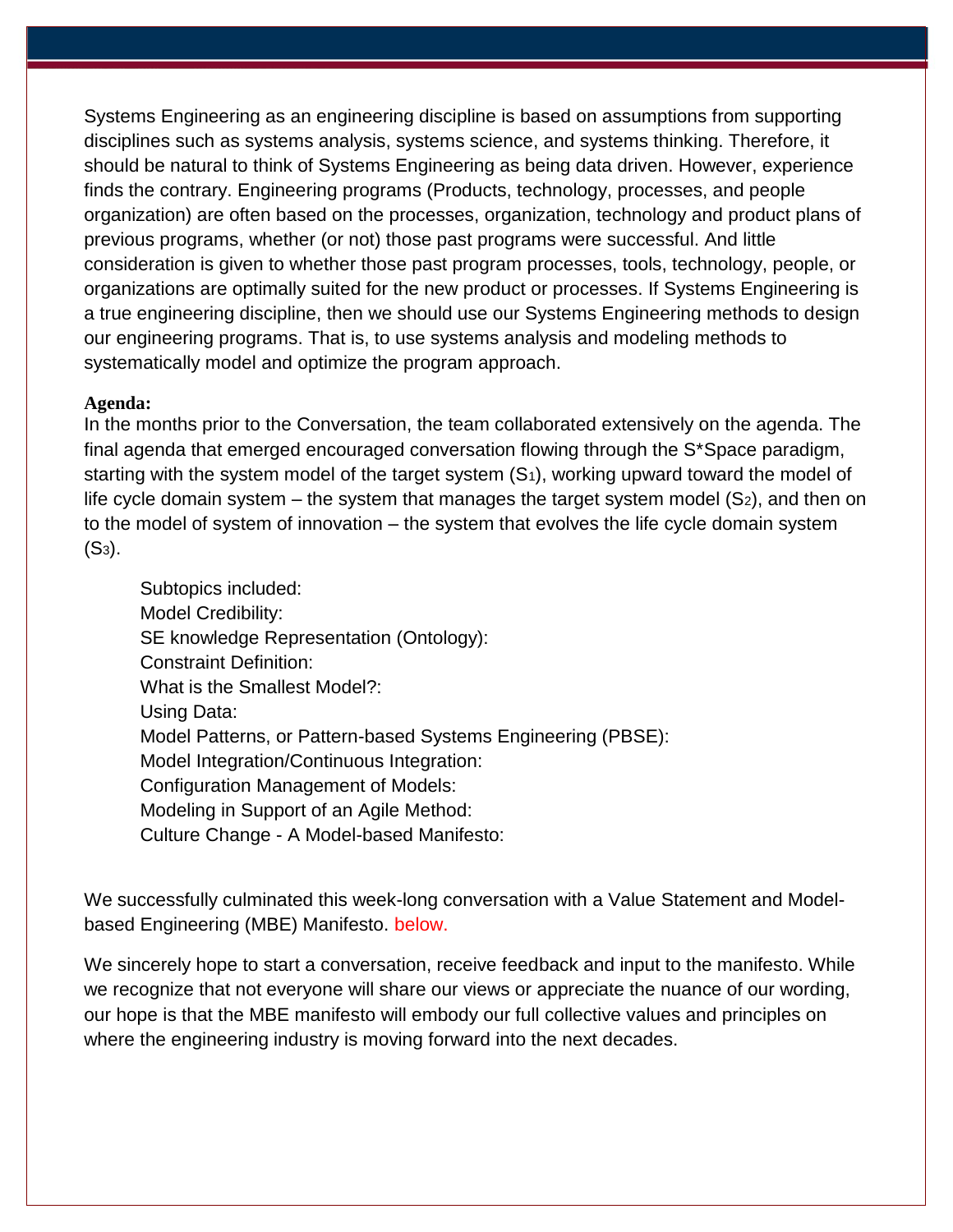Systems Engineering as an engineering discipline is based on assumptions from supporting disciplines such as systems analysis, systems science, and systems thinking. Therefore, it should be natural to think of Systems Engineering as being data driven. However, experience finds the contrary. Engineering programs (Products, technology, processes, and people organization) are often based on the processes, organization, technology and product plans of previous programs, whether (or not) those past programs were successful. And little consideration is given to whether those past program processes, tools, technology, people, or organizations are optimally suited for the new product or processes. If Systems Engineering is a true engineering discipline, then we should use our Systems Engineering methods to design our engineering programs. That is, to use systems analysis and modeling methods to systematically model and optimize the program approach.

### **Agenda:**

In the months prior to the Conversation, the team collaborated extensively on the agenda. The final agenda that emerged encouraged conversation flowing through the S\*Space paradigm, starting with the system model of the target system  $(S<sub>1</sub>)$ , working upward toward the model of life cycle domain system  $-$  the system that manages the target system model  $(S_2)$ , and then on to the model of system of innovation – the system that evolves the life cycle domain system  $(S_3)$ .

Subtopics included: Model Credibility: SE knowledge Representation (Ontology): Constraint Definition: What is the Smallest Model?: Using Data: Model Patterns, or Pattern-based Systems Engineering (PBSE): Model Integration/Continuous Integration: Configuration Management of Models: Modeling in Support of an Agile Method: Culture Change - A Model-based Manifesto:

We successfully culminated this week-long conversation with a Value Statement and Modelbased Engineering (MBE) Manifesto. below.

We sincerely hope to start a conversation, receive feedback and input to the manifesto. While we recognize that not everyone will share our views or appreciate the nuance of our wording, our hope is that the MBE manifesto will embody our full collective values and principles on where the engineering industry is moving forward into the next decades.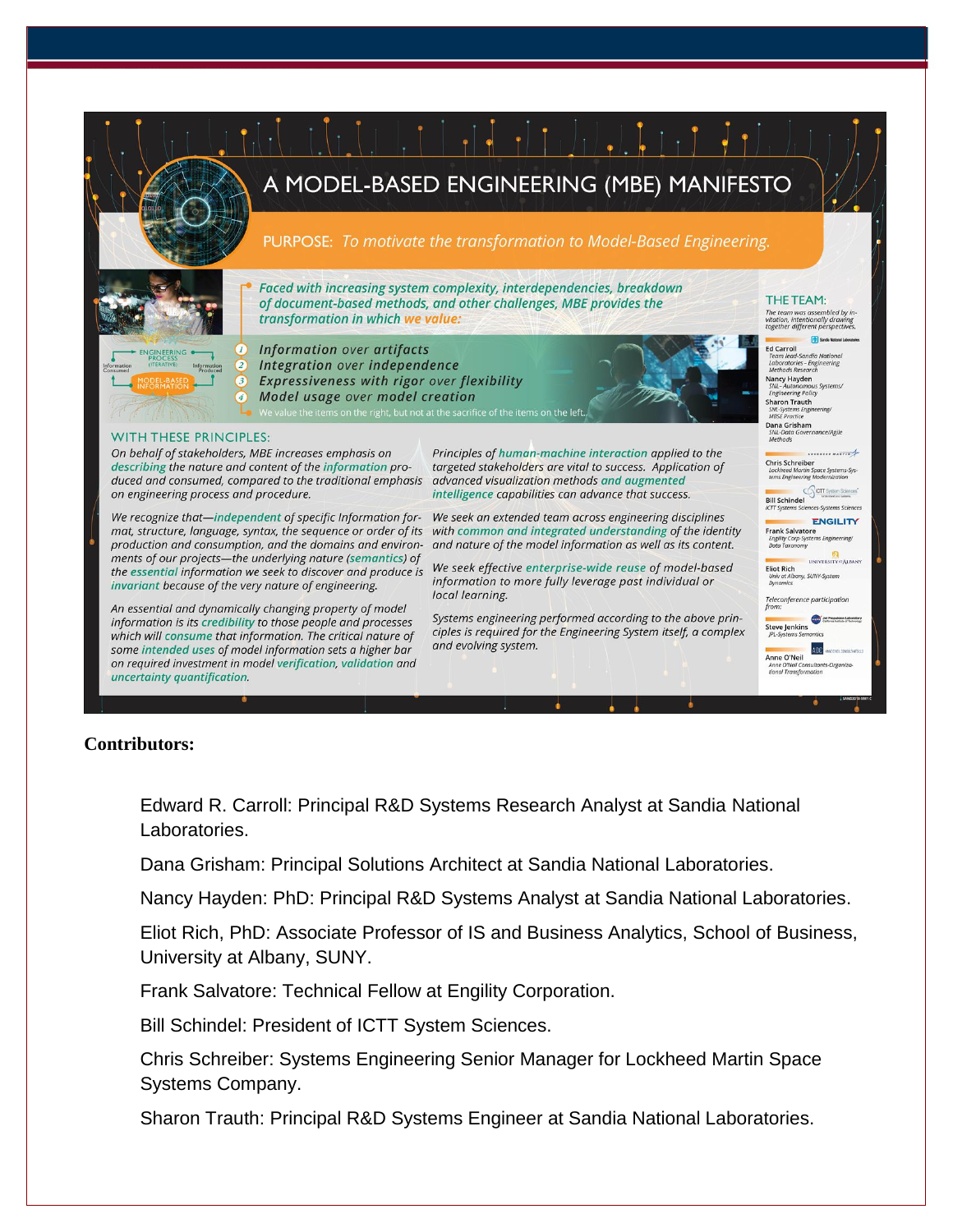

## **Contributors:**

Edward R. Carroll: Principal R&D Systems Research Analyst at Sandia National Laboratories.

Dana Grisham: Principal Solutions Architect at Sandia National Laboratories.

Nancy Hayden: PhD: Principal R&D Systems Analyst at Sandia National Laboratories.

Eliot Rich, PhD: Associate Professor of IS and Business Analytics, School of Business, University at Albany, SUNY.

Frank Salvatore: Technical Fellow at Engility Corporation.

Bill Schindel: President of ICTT System Sciences.

Chris Schreiber: Systems Engineering Senior Manager for Lockheed Martin Space Systems Company.

Sharon Trauth: Principal R&D Systems Engineer at Sandia National Laboratories.